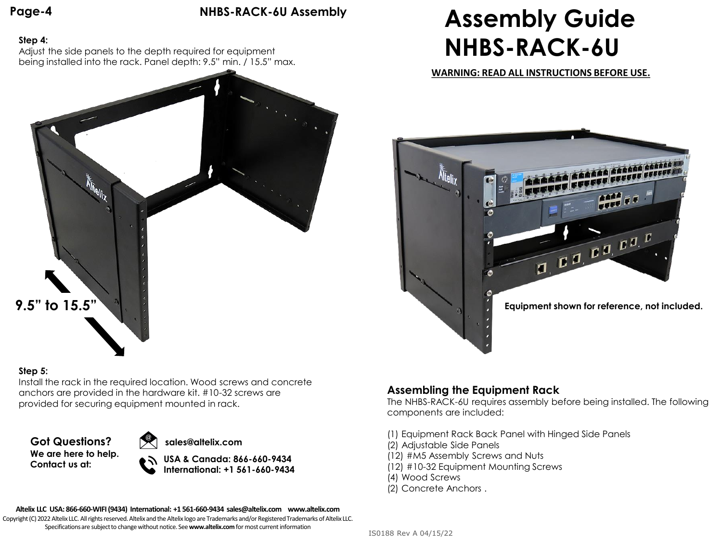**Page-4**

### **NHBS-RACK-6U Assembly**

### **Step 4:**

Adjust the side panels to the depth required for equipment being installed into the rack. Panel depth: 9.5" min. / 15.5" max.



### **Step 5:**

Install the rack in the required location. Wood screws and concrete anchors are provided in the hardware kit. #10-32 screws are provided for securing equipment mounted in rack.

**Got Questions? We are here to help. Contact us at:**



**USA & Canada: 866-660-9434 International: +1 561-660-9434**

## **Assembly Guide NHBS-RACK-6U**

**WARNING: READ ALL INSTRUCTIONS BEFORE USE.**



### **Assembling the Equipment Rack**

The NHBS-RACK-6U requires assembly before being installed. The following components are included:

- (1) Equipment Rack Back Panel with Hinged Side Panels
- (2) Adjustable Side Panels
- (12) #M5 Assembly Screws and Nuts
- (12) #10-32 Equipment Mounting Screws
- (4) Wood Screws
- (2) Concrete Anchors .

**Altelix LLC USA: 866-660-WIFI (9434) International: +1 561-660-9434 sales@altelix.com www.altelix.com**

Copyright (C) 2022 Altelix LLC. All rights reserved. Altelix and the Altelix logo are Trademarks and/or Registered Trademarks of Altelix LLC. Specifications are subject to change without notice. See **www.altelix.com** for most current information